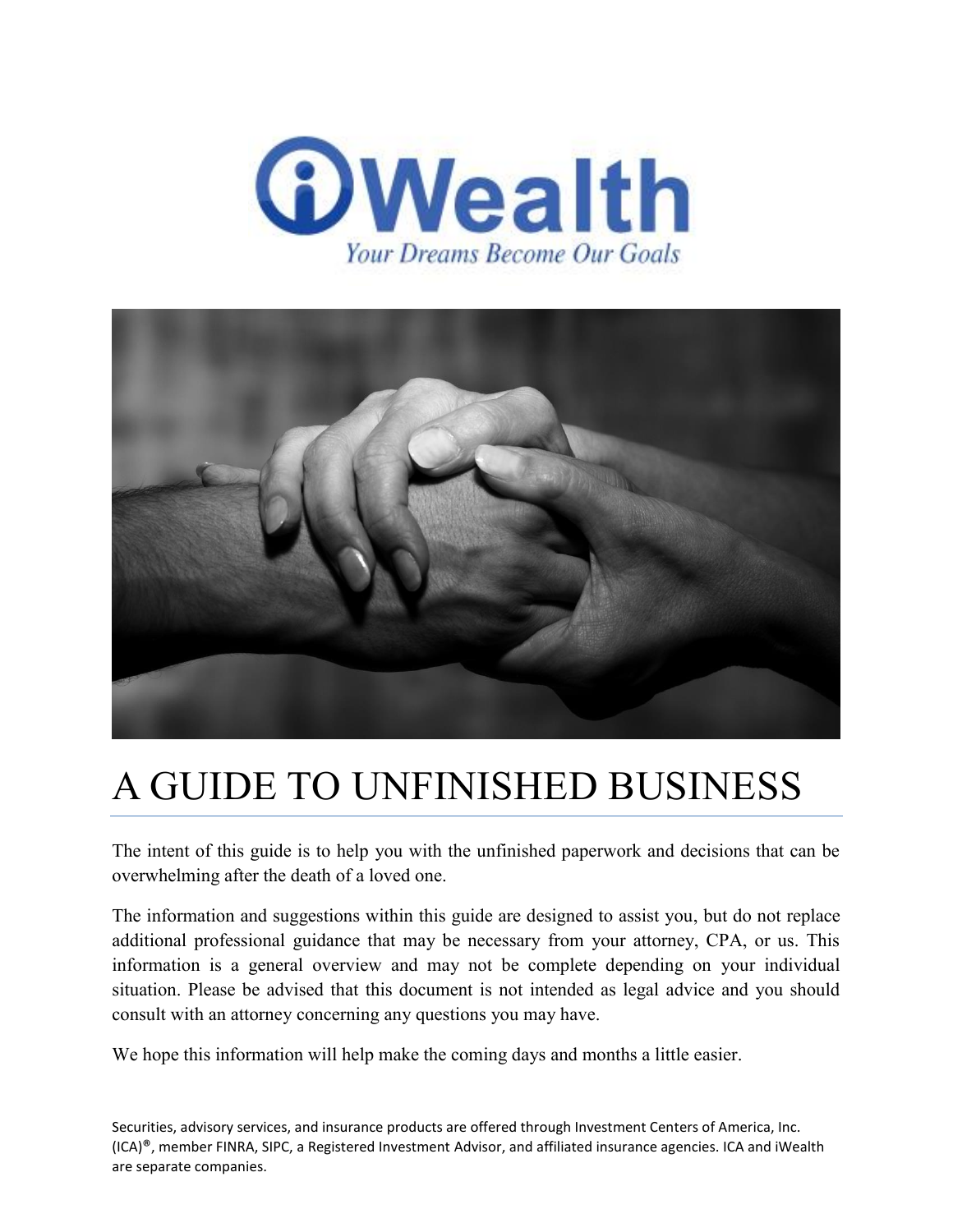



# A GUIDE TO UNFINISHED BUSINESS

The intent of this guide is to help you with the unfinished paperwork and decisions that can be overwhelming after the death of a loved one.

The information and suggestions within this guide are designed to assist you, but do not replace additional professional guidance that may be necessary from your attorney, CPA, or us. This information is a general overview and may not be complete depending on your individual situation. Please be advised that this document is not intended as legal advice and you should consult with an attorney concerning any questions you may have.

We hope this information will help make the coming days and months a little easier.

Securities, advisory services, and insurance products are offered through Investment Centers of America, Inc. (ICA)®, member FINRA, SIPC, a Registered Investment Advisor, and affiliated insurance agencies. ICA and iWealth are separate companies.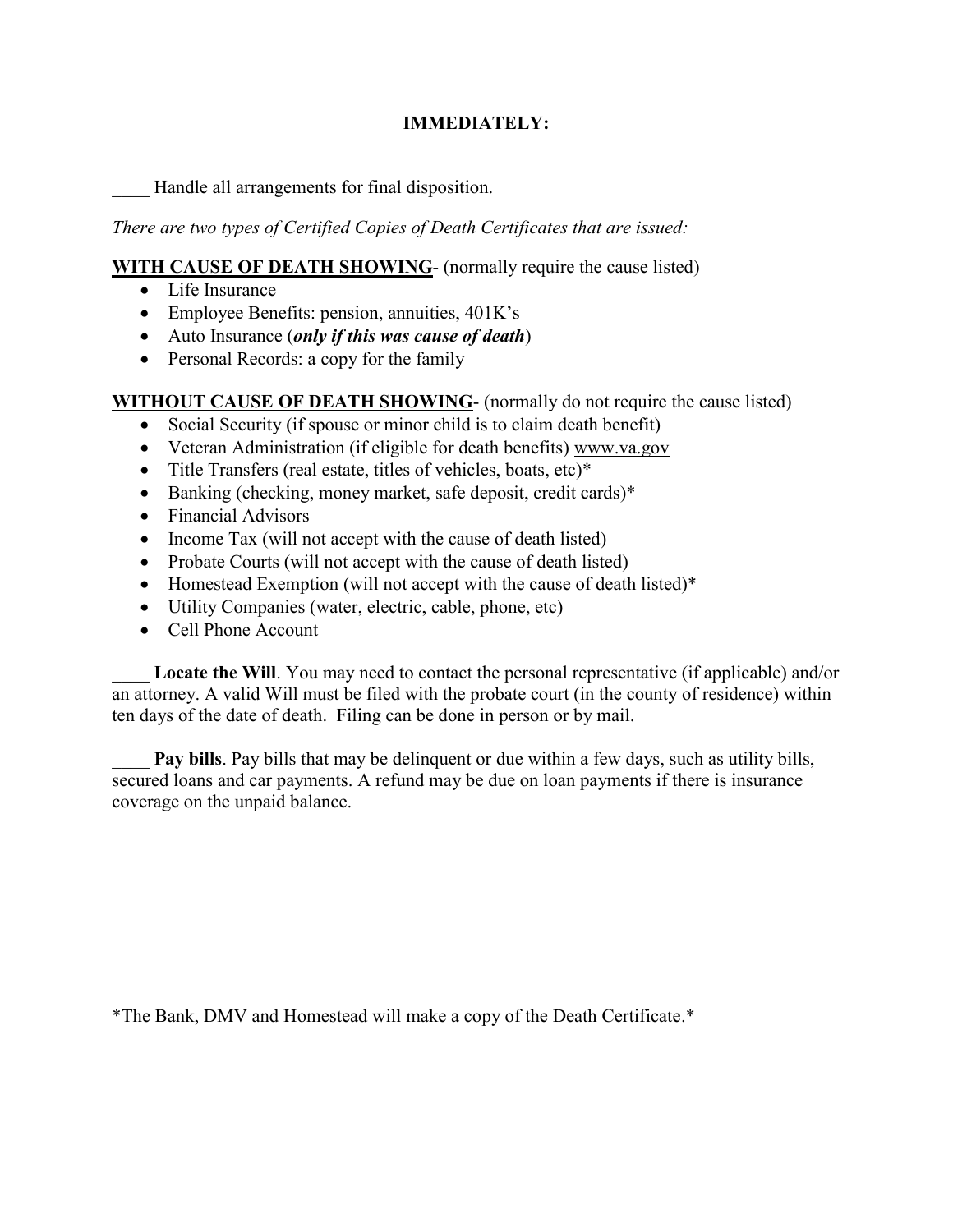# **IMMEDIATELY:**

\_\_\_\_ Handle all arrangements for final disposition.

*There are two types of Certified Copies of Death Certificates that are issued:*

## **WITH CAUSE OF DEATH SHOWING**- (normally require the cause listed)

- Life Insurance
- Employee Benefits: pension, annuities,  $401K$ 's
- Auto Insurance (*only if this was cause of death*)
- Personal Records: a copy for the family

# **WITHOUT CAUSE OF DEATH SHOWING**- (normally do not require the cause listed)

- Social Security (if spouse or minor child is to claim death benefit)
- Veteran Administration (if eligible for death benefits) [www.va.gov](http://www.va.gov/)
- Title Transfers (real estate, titles of vehicles, boats, etc)\*
- Banking (checking, money market, safe deposit, credit cards)\*
- Financial Advisors
- Income Tax (will not accept with the cause of death listed)
- Probate Courts (will not accept with the cause of death listed)
- Homestead Exemption (will not accept with the cause of death listed)\*
- Utility Companies (water, electric, cable, phone, etc)
- Cell Phone Account

Locate the Will. You may need to contact the personal representative (if applicable) and/or an attorney. A valid Will must be filed with the probate court (in the county of residence) within ten days of the date of death. Filing can be done in person or by mail.

**Pay bills**. Pay bills that may be delinquent or due within a few days, such as utility bills, secured loans and car payments. A refund may be due on loan payments if there is insurance coverage on the unpaid balance.

\*The Bank, DMV and Homestead will make a copy of the Death Certificate.\*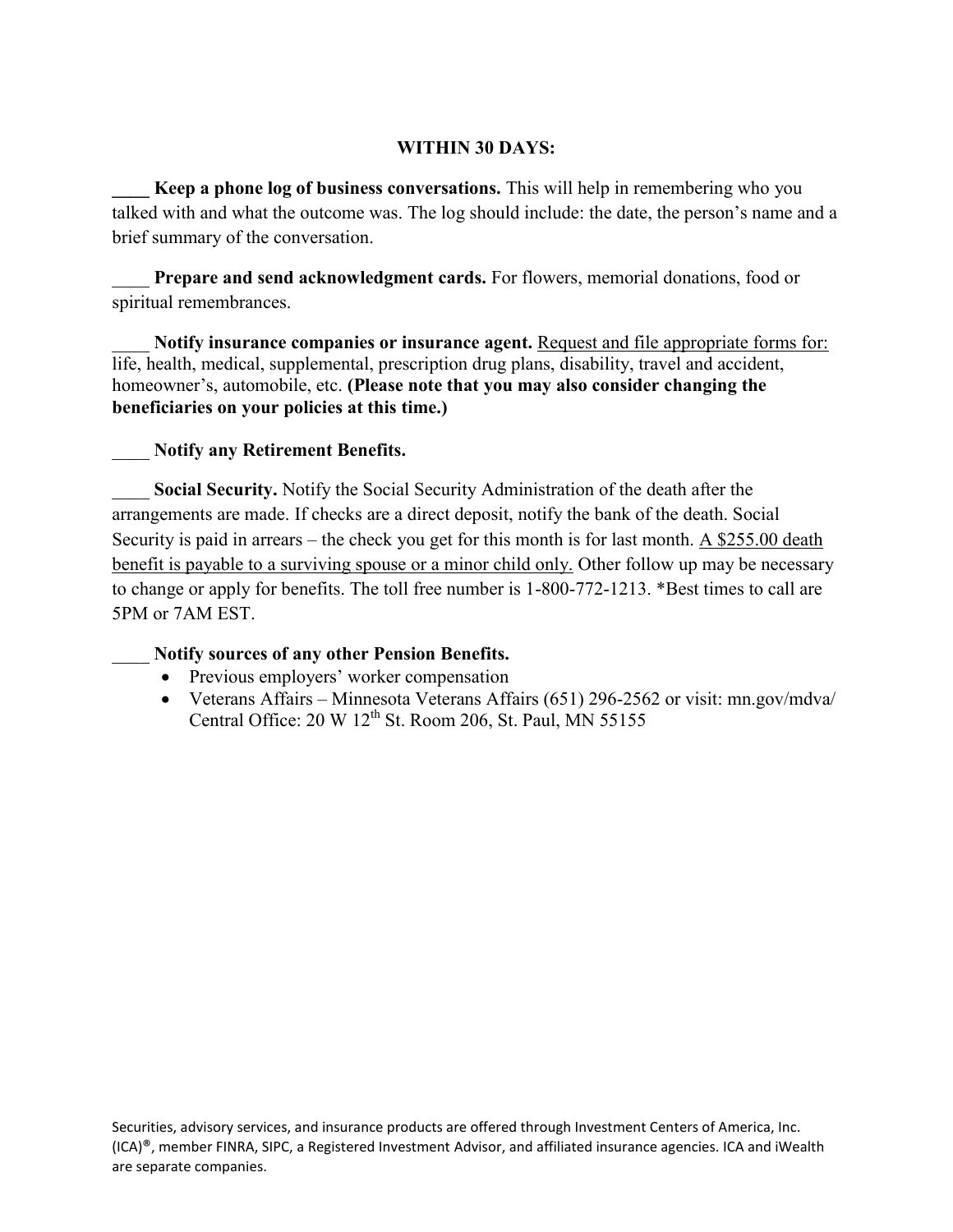#### **WITHIN 30 DAYS:**

**Keep a phone log of business conversations.** This will help in remembering who you talked with and what the outcome was. The log should include: the date, the person's name and a brief summary of the conversation.

**Prepare and send acknowledgment cards.** For flowers, memorial donations, food or spiritual remembrances.

Notify insurance companies or insurance agent. Request and file appropriate forms for: life, health, medical, supplemental, prescription drug plans, disability, travel and accident, homeowner's, automobile, etc. **(Please note that you may also consider changing the beneficiaries on your policies at this time.)**

### \_\_\_\_ **Notify any Retirement Benefits.**

Social Security. Notify the Social Security Administration of the death after the arrangements are made. If checks are a direct deposit, notify the bank of the death. Social Security is paid in arrears – the check you get for this month is for last month. A \$255.00 death benefit is payable to a surviving spouse or a minor child only. Other follow up may be necessary to change or apply for benefits. The toll free number is 1-800-772-1213. \*Best times to call are 5PM or 7AM EST.

#### \_\_\_\_ **Notify sources of any other Pension Benefits.**

- Previous employers' worker compensation
- Veterans Affairs Minnesota Veterans Affairs (651) 296-2562 or visit: mn.gov/mdva/ Central Office:  $20 W 12^{th}$  St. Room 206, St. Paul, MN 55155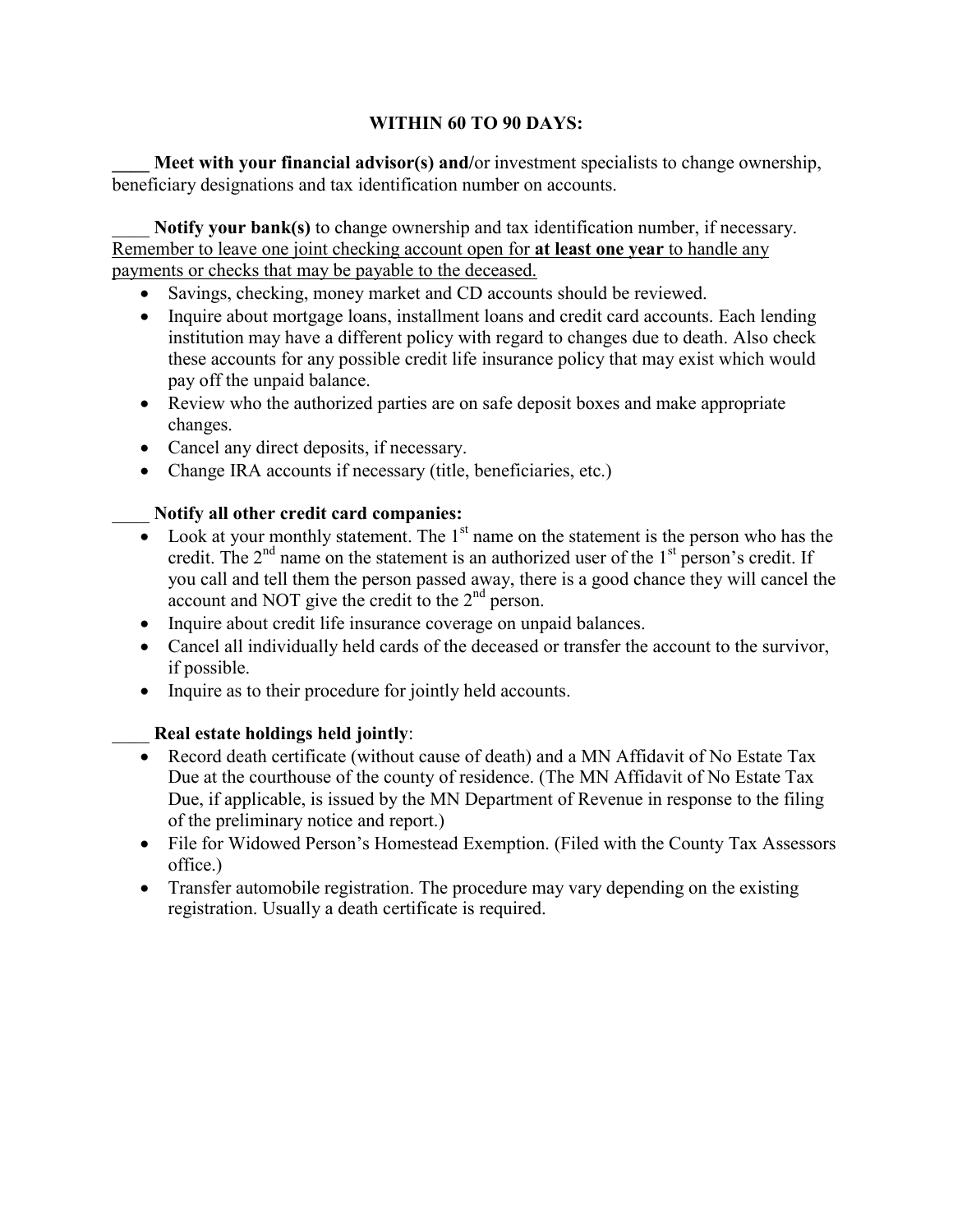# **WITHIN 60 TO 90 DAYS:**

**Meet with your financial advisor(s) and/or investment specialists to change ownership,** beneficiary designations and tax identification number on accounts.

Notify your bank(s) to change ownership and tax identification number, if necessary. Remember to leave one joint checking account open for **at least one year** to handle any payments or checks that may be payable to the deceased.

- Savings, checking, money market and CD accounts should be reviewed.
- Inquire about mortgage loans, installment loans and credit card accounts. Each lending institution may have a different policy with regard to changes due to death. Also check these accounts for any possible credit life insurance policy that may exist which would pay off the unpaid balance.
- Review who the authorized parties are on safe deposit boxes and make appropriate changes.
- Cancel any direct deposits, if necessary.
- Change IRA accounts if necessary (title, beneficiaries, etc.)

# \_\_\_\_ **Notify all other credit card companies:**

- Look at your monthly statement. The  $1<sup>st</sup>$  name on the statement is the person who has the credit. The  $2<sup>nd</sup>$  name on the statement is an authorized user of the  $1<sup>st</sup>$  person's credit. If you call and tell them the person passed away, there is a good chance they will cancel the account and NOT give the credit to the 2nd person.
- Inquire about credit life insurance coverage on unpaid balances.
- Cancel all individually held cards of the deceased or transfer the account to the survivor, if possible.
- Inquire as to their procedure for jointly held accounts.

# \_\_\_\_ **Real estate holdings held jointly**:

- Record death certificate (without cause of death) and a MN Affidavit of No Estate Tax Due at the courthouse of the county of residence. (The MN Affidavit of No Estate Tax Due, if applicable, is issued by the MN Department of Revenue in response to the filing of the preliminary notice and report.)
- File for Widowed Person's Homestead Exemption. (Filed with the County Tax Assessors office.)
- Transfer automobile registration. The procedure may vary depending on the existing registration. Usually a death certificate is required.